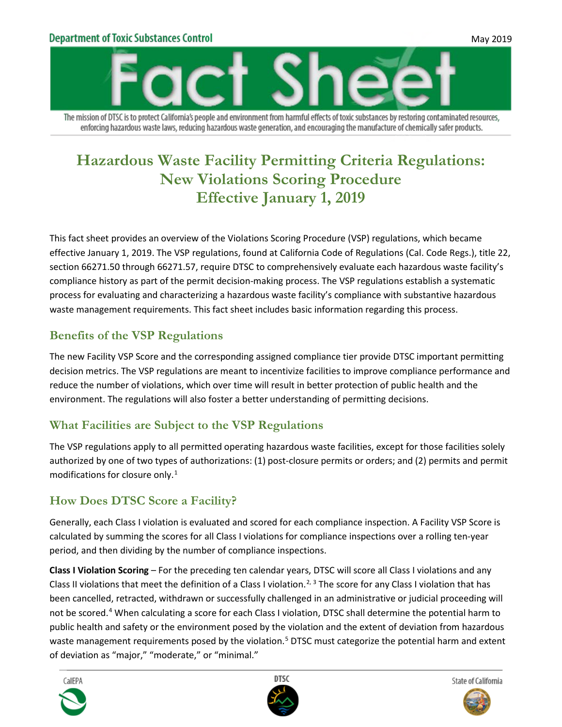### **Department of Toxic Substances Control**



The mission of DTSC is to protect California's people and environment from harmful effects of toxic substances by restoring contaminated resources, enforcing hazardous waste laws, reducing hazardous waste generation, and encouraging the manufacture of chemically safer products.

# **Hazardous Waste Facility Permitting Criteria Regulations: New Violations Scoring Procedure Effective January 1, 2019**

This fact sheet provides an overview of the Violations Scoring Procedure (VSP) regulations, which became effective January 1, 2019. The VSP regulations, found at California Code of Regulations (Cal. Code Regs.), title 22, section 66271.50 through 66271.57, require DTSC to comprehensively evaluate each hazardous waste facility's compliance history as part of the permit decision-making process. The VSP regulations establish a systematic process for evaluating and characterizing a hazardous waste facility's compliance with substantive hazardous waste management requirements. This fact sheet includes basic information regarding this process.

### **Benefits of the VSP Regulations**

The new Facility VSP Score and the corresponding assigned compliance tier provide DTSC important permitting decision metrics. The VSP regulations are meant to incentivize facilities to improve compliance performance and reduce the number of violations, which over time will result in better protection of public health and the environment. The regulations will also foster a better understanding of permitting decisions.

### **What Facilities are Subject to the VSP Regulations**

The VSP regulations apply to all permitted operating hazardous waste facilities, except for those facilities solely authorized by one of two types of authorizations: (1) post-closure permits or orders; and (2) permits and permit modifications for closure only.[1](#page-3-0)

### **How Does DTSC Score a Facility?**

Generally, each Class I violation is evaluated and scored for each compliance inspection. A Facility VSP Score is calculated by summing the scores for all Class I violations for compliance inspections over a rolling ten-year period, and then dividing by the number of compliance inspections.

**Class I Violation Scoring** – For the preceding ten calendar years, DTSC will score all Class I violations and any Class II violations that meet the definition of a Class I violation.<sup>[2](#page-3-1), [3](#page-3-2)</sup> The score for any Class I violation that has been cancelled, retracted, withdrawn or successfully challenged in an administrative or judicial proceeding will not be scored.[4](#page-3-3) When calculating a score for each Class I violation, DTSC shall determine the potential harm to public health and safety or the environment posed by the violation and the extent of deviation from hazardous waste management requirements posed by the violation.<sup>[5](#page-3-4)</sup> DTSC must categorize the potential harm and extent of deviation as "major," "moderate," or "minimal."







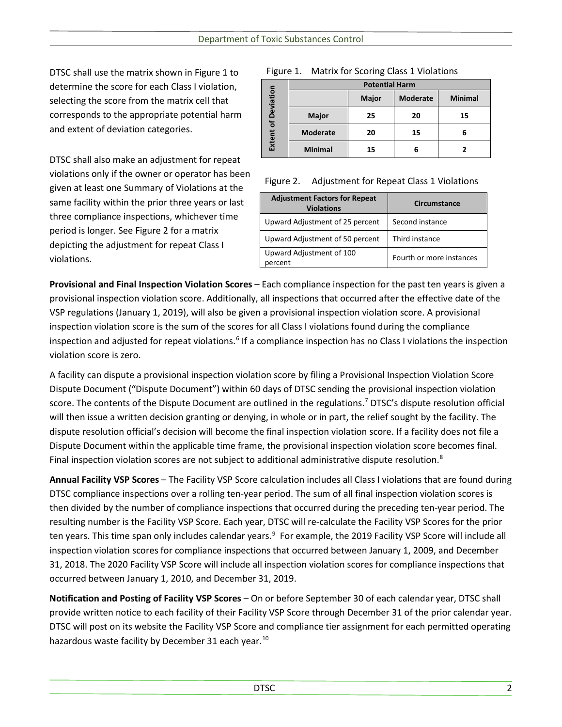DTSC shall use the matrix shown in Figure 1 to determine the score for each Class I violation, selecting the score from the matrix cell that corresponds to the appropriate potential harm and extent of deviation categories.

DTSC shall also make an adjustment for repeat violations only if the owner or operator has been given at least one Summary of Violations at the same facility within the prior three years or last three compliance inspections, whichever time period is longer. See Figure 2 for a matrix depicting the adjustment for repeat Class I violations.

#### Figure 1. Matrix for Scoring Class 1 Violations

|                            | <b>Potential Harm</b> |              |                 |                |
|----------------------------|-----------------------|--------------|-----------------|----------------|
| <b>Extent of Deviation</b> |                       | <b>Major</b> | <b>Moderate</b> | <b>Minimal</b> |
|                            | <b>Major</b>          | 25           | 20              | 15             |
|                            | <b>Moderate</b>       | 20           | 15              | 6              |
|                            | <b>Minimal</b>        | 15           | 6               |                |

#### Figure 2. Adjustment for Repeat Class 1 Violations

| <b>Adjustment Factors for Repeat</b><br><b>Violations</b> | Circumstance             |  |
|-----------------------------------------------------------|--------------------------|--|
| Upward Adjustment of 25 percent                           | Second instance          |  |
| Upward Adjustment of 50 percent                           | Third instance           |  |
| Upward Adjustment of 100<br>percent                       | Fourth or more instances |  |

**Provisional and Final Inspection Violation Scores** – Each compliance inspection for the past ten years is given a provisional inspection violation score. Additionally, all inspections that occurred after the effective date of the VSP regulations (January 1, 2019), will also be given a provisional inspection violation score. A provisional inspection violation score is the sum of the scores for all Class I violations found during the compliance inspection and adjusted for repeat violations.<sup>[6](#page-3-5)</sup> If a compliance inspection has no Class I violations the inspection violation score is zero.

A facility can dispute a provisional inspection violation score by filing a Provisional Inspection Violation Score Dispute Document ("Dispute Document") within 60 days of DTSC sending the provisional inspection violation score. The contents of the Dispute Document are outlined in the regulations. [7](#page-3-6) DTSC's dispute resolution official will then issue a written decision granting or denying, in whole or in part, the relief sought by the facility. The dispute resolution official's decision will become the final inspection violation score. If a facility does not file a Dispute Document within the applicable time frame, the provisional inspection violation score becomes final. Final inspection violation scores are not subject to additional administrative dispute resolution.<sup>[8](#page-3-7)</sup>

**Annual Facility VSP Scores** – The Facility VSP Score calculation includes all Class I violations that are found during DTSC compliance inspections over a rolling ten-year period. The sum of all final inspection violation scores is then divided by the number of compliance inspections that occurred during the preceding ten-year period. The resulting number is the Facility VSP Score. Each year, DTSC will re-calculate the Facility VSP Scores for the prior ten years. This time span only includes calendar years.<sup>[9](#page-3-8)</sup> For example, the 2019 Facility VSP Score will include all inspection violation scores for compliance inspections that occurred between January 1, 2009, and December 31, 2018. The 2020 Facility VSP Score will include all inspection violation scores for compliance inspections that occurred between January 1, 2010, and December 31, 2019.

**Notification and Posting of Facility VSP Scores** – On or before September 30 of each calendar year, DTSC shall provide written notice to each facility of their Facility VSP Score through December 31 of the prior calendar year. DTSC will post on its website the Facility VSP Score and compliance tier assignment for each permitted operating hazardous waste facility by December 31 each year.<sup>[10](#page-3-9)</sup>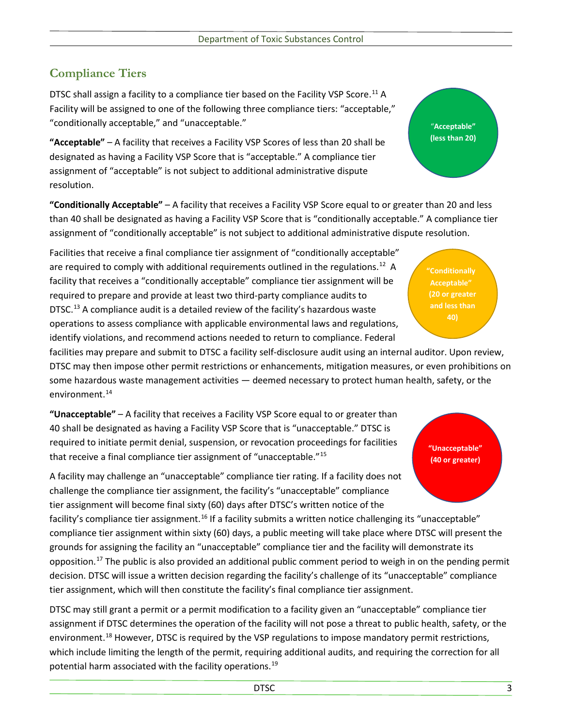## **Compliance Tiers**

DTSC shall assign a facility to a compliance tier based on the Facility VSP Score.<sup>[11](#page-3-10)</sup> A Facility will be assigned to one of the following three compliance tiers: "acceptable," "conditionally acceptable," and "unacceptable."

**"Acceptable"** – A facility that receives a Facility VSP Scores of less than 20 shall be designated as having a Facility VSP Score that is "acceptable." A compliance tier assignment of "acceptable" is not subject to additional administrative dispute resolution.

**"Conditionally Acceptable"** – A facility that receives a Facility VSP Score equal to or greater than 20 and less than 40 shall be designated as having a Facility VSP Score that is "conditionally acceptable." A compliance tier assignment of "conditionally acceptable" is not subject to additional administrative dispute resolution.

Facilities that receive a final compliance tier assignment of "conditionally acceptable" are required to comply with additional requirements outlined in the regulations.<sup>[12](#page-3-11)</sup> A facility that receives a "conditionally acceptable" compliance tier assignment will be required to prepare and provide at least two third-party compliance audits to DTSC.<sup>[13](#page-3-12)</sup> A compliance audit is a detailed review of the facility's hazardous waste operations to assess compliance with applicable environmental laws and regulations, identify violations, and recommend actions needed to return to compliance. Federal

facilities may prepare and submit to DTSC a facility self-disclosure audit using an internal auditor. Upon review, DTSC may then impose other permit restrictions or enhancements, mitigation measures, or even prohibitions on some hazardous waste management activities — deemed necessary to protect human health, safety, or the environment.<sup>[14](#page-3-13)</sup>

**"Unacceptable"** – A facility that receives a Facility VSP Score equal to or greater than 40 shall be designated as having a Facility VSP Score that is "unacceptable." DTSC is required to initiate permit denial, suspension, or revocation proceedings for facilities that receive a final compliance tier assignment of "unacceptable."[15](#page-3-14)

A facility may challenge an "unacceptable" compliance tier rating. If a facility does not challenge the compliance tier assignment, the facility's "unacceptable" compliance tier assignment will become final sixty (60) days after DTSC's written notice of the

facility's compliance tier assignment.<sup>[16](#page-3-15)</sup> If a facility submits a written notice challenging its "unacceptable" compliance tier assignment within sixty (60) days, a public meeting will take place where DTSC will present the grounds for assigning the facility an "unacceptable" compliance tier and the facility will demonstrate its opposition.<sup>[17](#page-3-16)</sup> The public is also provided an additional public comment period to weigh in on the pending permit decision. DTSC will issue a written decision regarding the facility's challenge of its "unacceptable" compliance tier assignment, which will then constitute the facility's final compliance tier assignment.

DTSC may still grant a permit or a permit modification to a facility given an "unacceptable" compliance tier assignment if DTSC determines the operation of the facility will not pose a threat to public health, safety, or the environment.<sup>[18](#page-3-17)</sup> However, DTSC is required by the VSP regulations to impose mandatory permit restrictions, which include limiting the length of the permit, requiring additional audits, and requiring the correction for all potential harm associated with the facility operations.<sup>[19](#page-3-18)</sup>

**"Conditionally Acceptable" (20 or greater and less than** 

"**Acceptable" (less than 20)**

**"Unacceptable" (40 or greater)**